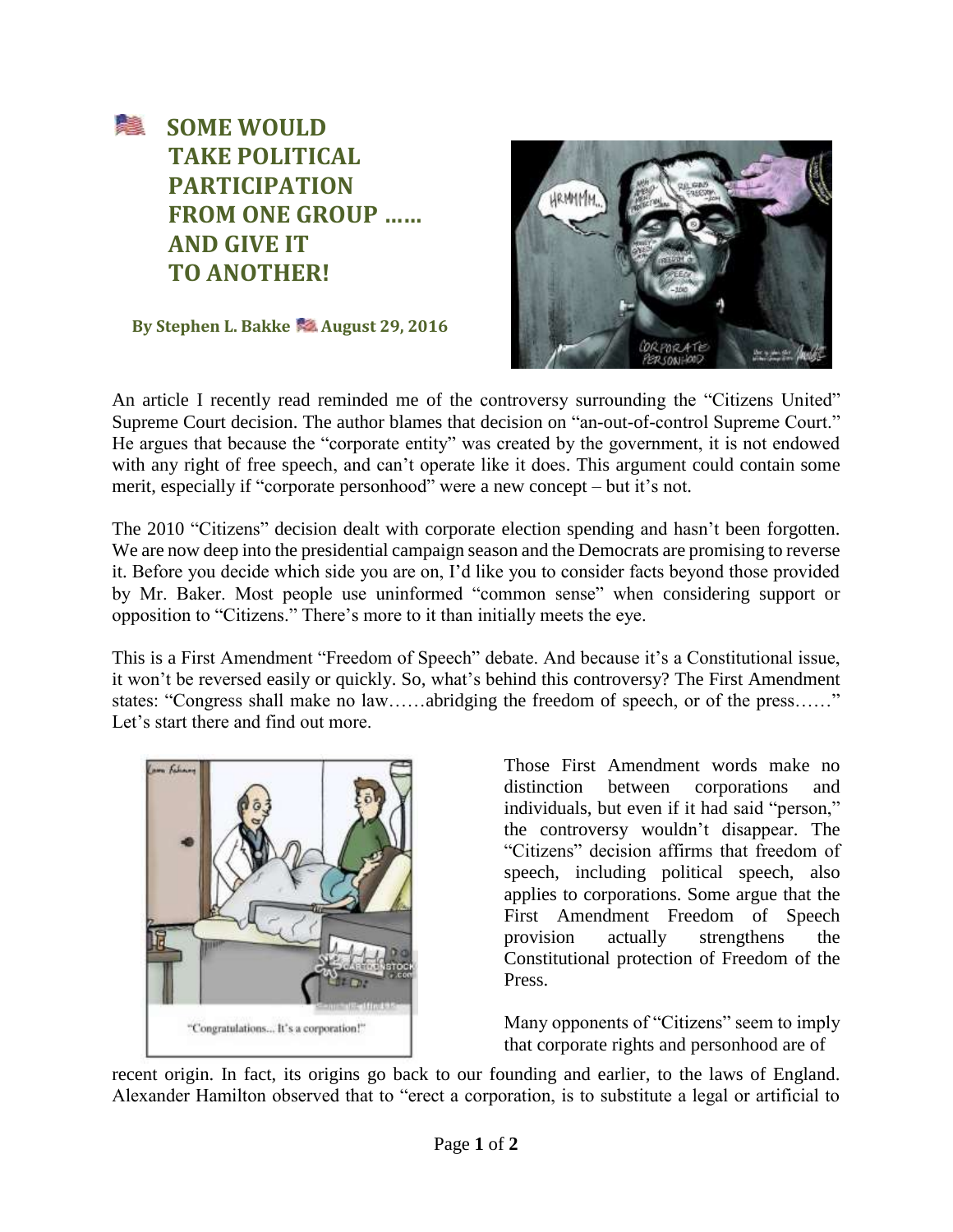

**By Stephen L. Bakke Manust 29, 2016** 



An article I recently read reminded me of the controversy surrounding the "Citizens United" Supreme Court decision. The author blames that decision on "an-out-of-control Supreme Court." He argues that because the "corporate entity" was created by the government, it is not endowed with any right of free speech, and can't operate like it does. This argument could contain some merit, especially if "corporate personhood" were a new concept – but it's not.

The 2010 "Citizens" decision dealt with corporate election spending and hasn't been forgotten. We are now deep into the presidential campaign season and the Democrats are promising to reverse it. Before you decide which side you are on, I'd like you to consider facts beyond those provided by Mr. Baker. Most people use uninformed "common sense" when considering support or opposition to "Citizens." There's more to it than initially meets the eye.

This is a First Amendment "Freedom of Speech" debate. And because it's a Constitutional issue, it won't be reversed easily or quickly. So, what's behind this controversy? The First Amendment states: "Congress shall make no law……abridging the freedom of speech, or of the press……" Let's start there and find out more.



Those First Amendment words make no distinction between corporations and individuals, but even if it had said "person," the controversy wouldn't disappear. The "Citizens" decision affirms that freedom of speech, including political speech, also applies to corporations. Some argue that the First Amendment Freedom of Speech provision actually strengthens the Constitutional protection of Freedom of the Press.

Many opponents of "Citizens" seem to imply that corporate rights and personhood are of

recent origin. In fact, its origins go back to our founding and earlier, to the laws of England. Alexander Hamilton observed that to "erect a corporation, is to substitute a legal or artificial to